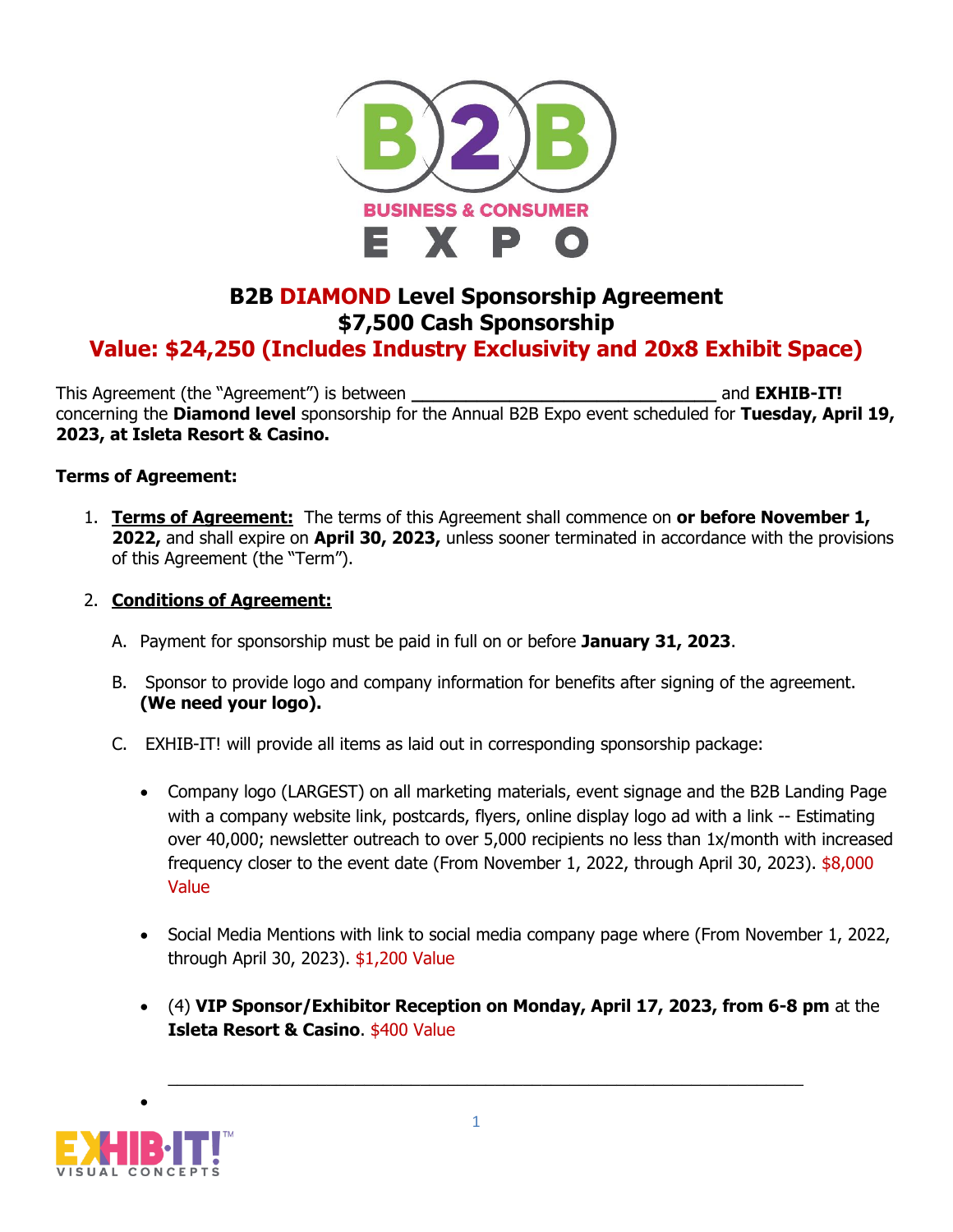

## **B2B DIAMOND Level Sponsorship Agreement \$7,500 Cash Sponsorship**

## **Value: \$24,250 (Includes Industry Exclusivity and 20x8 Exhibit Space)**

This Agreement (the "Agreement") is between **the set of the set of the set of the set of the set of the set of the set of the set of the set of the set of the set of the set of the set of the set of the set of the set of t** concerning the **Diamond level** sponsorship for the Annual B2B Expo event scheduled for **Tuesday, April 19, 2023, at Isleta Resort & Casino.**

## **Terms of Agreement:**

1. **Terms of Agreement:** The terms of this Agreement shall commence on **or before November 1, 2022,** and shall expire on **April 30, 2023,** unless sooner terminated in accordance with the provisions of this Agreement (the "Term").

## 2. **Conditions of Agreement:**

- A. Payment for sponsorship must be paid in full on or before **January 31, 2023**.
- B. Sponsor to provide logo and company information for benefits after signing of the agreement. **(We need your logo).**
- C. EXHIB-IT! will provide all items as laid out in corresponding sponsorship package:
	- Company logo (LARGEST) on all marketing materials, event signage and the B2B Landing Page with a company website link, postcards, flyers, online display logo ad with a link -- Estimating over 40,000; newsletter outreach to over 5,000 recipients no less than 1x/month with increased frequency closer to the event date (From November 1, 2022, through April 30, 2023). \$8,000 Value
	- Social Media Mentions with link to social media company page where (From November 1, 2022, through April 30, 2023). \$1,200 Value
	- (4) **VIP Sponsor/Exhibitor Reception on Monday, April 17, 2023, from 6-8 pm** at the **Isleta Resort & Casino**. \$400 Value



•

 $\_$  , and the set of the set of the set of the set of the set of the set of the set of the set of the set of the set of the set of the set of the set of the set of the set of the set of the set of the set of the set of th